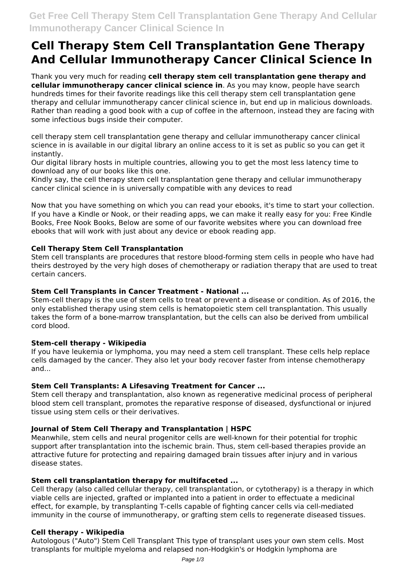# **Cell Therapy Stem Cell Transplantation Gene Therapy And Cellular Immunotherapy Cancer Clinical Science In**

Thank you very much for reading **cell therapy stem cell transplantation gene therapy and cellular immunotherapy cancer clinical science in**. As you may know, people have search hundreds times for their favorite readings like this cell therapy stem cell transplantation gene therapy and cellular immunotherapy cancer clinical science in, but end up in malicious downloads. Rather than reading a good book with a cup of coffee in the afternoon, instead they are facing with some infectious bugs inside their computer.

cell therapy stem cell transplantation gene therapy and cellular immunotherapy cancer clinical science in is available in our digital library an online access to it is set as public so you can get it instantly.

Our digital library hosts in multiple countries, allowing you to get the most less latency time to download any of our books like this one.

Kindly say, the cell therapy stem cell transplantation gene therapy and cellular immunotherapy cancer clinical science in is universally compatible with any devices to read

Now that you have something on which you can read your ebooks, it's time to start your collection. If you have a Kindle or Nook, or their reading apps, we can make it really easy for you: Free Kindle Books, Free Nook Books, Below are some of our favorite websites where you can download free ebooks that will work with just about any device or ebook reading app.

## **Cell Therapy Stem Cell Transplantation**

Stem cell transplants are procedures that restore blood-forming stem cells in people who have had theirs destroyed by the very high doses of chemotherapy or radiation therapy that are used to treat certain cancers.

## **Stem Cell Transplants in Cancer Treatment - National ...**

Stem-cell therapy is the use of stem cells to treat or prevent a disease or condition. As of 2016, the only established therapy using stem cells is hematopoietic stem cell transplantation. This usually takes the form of a bone-marrow transplantation, but the cells can also be derived from umbilical cord blood.

## **Stem-cell therapy - Wikipedia**

If you have leukemia or lymphoma, you may need a stem cell transplant. These cells help replace cells damaged by the cancer. They also let your body recover faster from intense chemotherapy and...

## **Stem Cell Transplants: A Lifesaving Treatment for Cancer ...**

Stem cell therapy and transplantation, also known as regenerative medicinal process of peripheral blood stem cell transplant, promotes the reparative response of diseased, dysfunctional or injured tissue using stem cells or their derivatives.

## **Journal of Stem Cell Therapy and Transplantation | HSPC**

Meanwhile, stem cells and neural progenitor cells are well-known for their potential for trophic support after transplantation into the ischemic brain. Thus, stem cell-based therapies provide an attractive future for protecting and repairing damaged brain tissues after injury and in various disease states.

## **Stem cell transplantation therapy for multifaceted ...**

Cell therapy (also called cellular therapy, cell transplantation, or cytotherapy) is a therapy in which viable cells are injected, grafted or implanted into a patient in order to effectuate a medicinal effect, for example, by transplanting T-cells capable of fighting cancer cells via cell-mediated immunity in the course of immunotherapy, or grafting stem cells to regenerate diseased tissues.

## **Cell therapy - Wikipedia**

Autologous ("Auto") Stem Cell Transplant This type of transplant uses your own stem cells. Most transplants for multiple myeloma and relapsed non-Hodgkin's or Hodgkin lymphoma are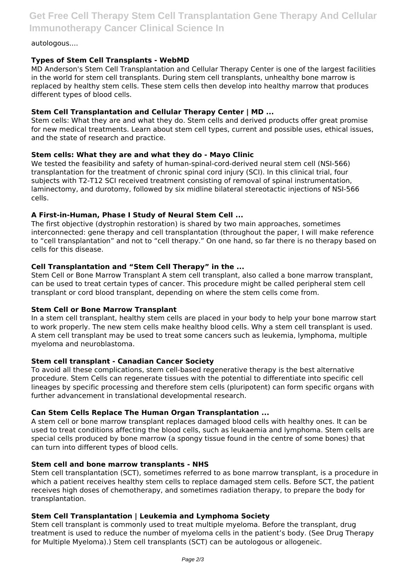**Get Free Cell Therapy Stem Cell Transplantation Gene Therapy And Cellular Immunotherapy Cancer Clinical Science In**

#### autologous....

## **Types of Stem Cell Transplants - WebMD**

MD Anderson's Stem Cell Transplantation and Cellular Therapy Center is one of the largest facilities in the world for stem cell transplants. During stem cell transplants, unhealthy bone marrow is replaced by healthy stem cells. These stem cells then develop into healthy marrow that produces different types of blood cells.

## **Stem Cell Transplantation and Cellular Therapy Center | MD ...**

Stem cells: What they are and what they do. Stem cells and derived products offer great promise for new medical treatments. Learn about stem cell types, current and possible uses, ethical issues, and the state of research and practice.

## **Stem cells: What they are and what they do - Mayo Clinic**

We tested the feasibility and safety of human-spinal-cord-derived neural stem cell (NSI-566) transplantation for the treatment of chronic spinal cord injury (SCI). In this clinical trial, four subjects with T2-T12 SCI received treatment consisting of removal of spinal instrumentation, laminectomy, and durotomy, followed by six midline bilateral stereotactic injections of NSI-566 cells.

## **A First-in-Human, Phase I Study of Neural Stem Cell ...**

The first objective (dystrophin restoration) is shared by two main approaches, sometimes interconnected: gene therapy and cell transplantation (throughout the paper, I will make reference to "cell transplantation" and not to "cell therapy." On one hand, so far there is no therapy based on cells for this disease.

## **Cell Transplantation and "Stem Cell Therapy" in the ...**

Stem Cell or Bone Marrow Transplant A stem cell transplant, also called a bone marrow transplant, can be used to treat certain types of cancer. This procedure might be called peripheral stem cell transplant or cord blood transplant, depending on where the stem cells come from.

## **Stem Cell or Bone Marrow Transplant**

In a stem cell transplant, healthy stem cells are placed in your body to help your bone marrow start to work properly. The new stem cells make healthy blood cells. Why a stem cell transplant is used. A stem cell transplant may be used to treat some cancers such as leukemia, lymphoma, multiple myeloma and neuroblastoma.

## **Stem cell transplant - Canadian Cancer Society**

To avoid all these complications, stem cell-based regenerative therapy is the best alternative procedure. Stem Cells can regenerate tissues with the potential to differentiate into specific cell lineages by specific processing and therefore stem cells (pluripotent) can form specific organs with further advancement in translational developmental research.

## **Can Stem Cells Replace The Human Organ Transplantation ...**

A stem cell or bone marrow transplant replaces damaged blood cells with healthy ones. It can be used to treat conditions affecting the blood cells, such as leukaemia and lymphoma. Stem cells are special cells produced by bone marrow (a spongy tissue found in the centre of some bones) that can turn into different types of blood cells.

## **Stem cell and bone marrow transplants - NHS**

Stem cell transplantation (SCT), sometimes referred to as bone marrow transplant, is a procedure in which a patient receives healthy stem cells to replace damaged stem cells. Before SCT, the patient receives high doses of chemotherapy, and sometimes radiation therapy, to prepare the body for transplantation.

## **Stem Cell Transplantation | Leukemia and Lymphoma Society**

Stem cell transplant is commonly used to treat multiple myeloma. Before the transplant, drug treatment is used to reduce the number of myeloma cells in the patient's body. (See Drug Therapy for Multiple Myeloma).) Stem cell transplants (SCT) can be autologous or allogeneic.